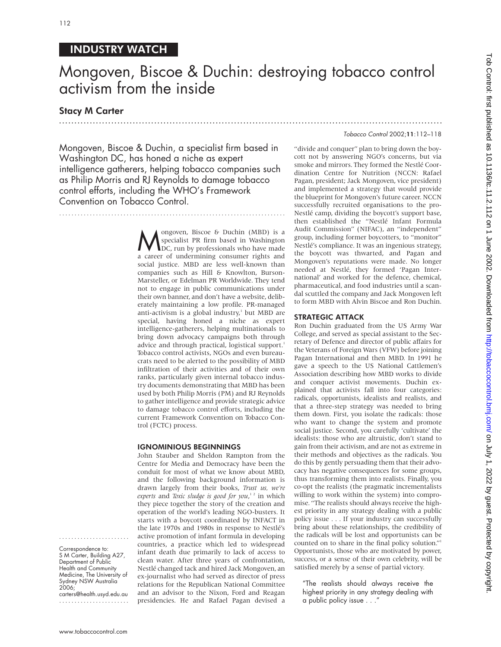# INDUSTRY WATCH

# Mongoven, Biscoe & Duchin: destroying tobacco control activism from the inside

.............................................................................................................................

# Stacy M Carter

Mongoven, Biscoe & Duchin, a specialist firm based in Washington DC, has honed a niche as expert intelligence gatherers, helping tobacco companies such as Philip Morris and RJ Reynolds to damage tobacco control efforts, including the WHO's Framework Convention on Tobacco Control.

..........................................................................

Mongoven, Biscoe & Duchin (MBD) is a<br>pecialist PR firm based in Washington<br>pcc, run by professionals who have made specialist PR firm based in Washington DC, run by professionals who have made a career of undermining consumer rights and social justice. MBD are less well-known than companies such as Hill & Knowlton, Burson-Marsteller, or Edelman PR Worldwide. They tend not to engage in public communications under their own banner, and don't have a website, deliberately maintaining a low profile. PR-managed anti-activism is a global industry, $\frac{1}{2}$  but MBD are special, having honed a niche as expert intelligence-gatherers, helping multinationals to bring down advocacy campaigns both through advice and through practical, logistical support.<sup>1</sup> Tobacco control activists, NGOs and even bureaucrats need to be alerted to the possibility of MBD infiltration of their activities and of their own ranks, particularly given internal tobacco industry documents demonstrating that MBD has been used by both Philip Morris (PM) and RJ Reynolds to gather intelligence and provide strategic advice to damage tobacco control efforts, including the current Framework Convention on Tobacco Control (FCTC) process.

#### IGNOMINIOUS BEGINNINGS

John Stauber and Sheldon Rampton from the Centre for Media and Democracy have been the conduit for most of what we know about MBD, and the following background information is drawn largely from their books, *Trust us, we're experts* and *Toxic sludge is good for you*, 1 2 in which they piece together the story of the creation and operation of the world's leading NGO-busters. It starts with a boycott coordinated by INFACT in the late 1970s and 1980s in response to Nestlé's active promotion of infant formula in developing countries, a practice which led to widespread infant death due primarily to lack of access to clean water. After three years of confrontation, Nestlé changed tack and hired Jack Mongoven, an ex-journalist who had served as director of press relations for the Republican National Committee and an advisor to the Nixon, Ford and Reagan presidencies. He and Rafael Pagan devised a

#### Tobacco Control 2002;11:112–118

"divide and conquer" plan to bring down the boycott not by answering NGO's concerns, but via smoke and mirrors. They formed the Nestlé Coordination Centre for Nutrition (NCCN: Rafael Pagan, president; Jack Mongoven, vice president) and implemented a strategy that would provide the blueprint for Mongoven's future career. NCCN successfully recruited organisations to the pro-Nestlé camp, dividing the boycott's support base, then established the "Nestlé Infant Formula Audit Commission" (NIFAC), an "independent" group, including former boycotters, to "monitor" Nestlé's compliance. It was an ingenious strategy, the boycott was thwarted, and Pagan and Mongoven's reputations were made. No longer needed at Nestlé, they formed 'Pagan International' and worked for the defence, chemical, pharmaceutical, and food industries until a scandal scuttled the company and Jack Mongoven left to form MBD with Alvin Biscoe and Ron Duchin.

# STRATEGIC ATTACK

Ron Duchin graduated from the US Army War College, and served as special assistant to the Secretary of Defence and director of public affairs for the Veterans of Foreign Wars (VFW) before joining Pagan International and then MBD. In 1991 he gave a speech to the US National Cattlemen's Association describing how MBD works to divide and conquer activist movements. Duchin explained that activists fall into four categories: radicals, opportunists, idealists and realists, and that a three-step strategy was needed to bring them down. First, you isolate the radicals: those who want to change the system and promote social justice. Second, you carefully 'cultivate' the idealists: those who are altruistic, don't stand to gain from their activism, and are not as extreme in their methods and objectives as the radicals. You do this by gently persuading them that their advocacy has negative consequences for some groups, thus transforming them into realists. Finally, you co-opt the realists (the pragmatic incrementalists willing to work within the system) into compromise. "The realists should always receive the highest priority in any strategy dealing with a public policy issue . . . If your industry can successfully bring about these relationships, the credibility of the radicals will be lost and opportunists can be counted on to share in the final policy solution."<sup>1</sup> Opportunists, those who are motivated by power, success, or a sense of their own celebrity, will be satisfied merely by a sense of partial victory.

"The realists should always receive the highest priority in any strategy dealing with a public policy issue . . ."

....................... Correspondence to:

carters@health.usyd.edu.au .......................

S M Carter, Building A27, Department of Public Health and Community Medicine, The University of Sydney NSW Australia 2006;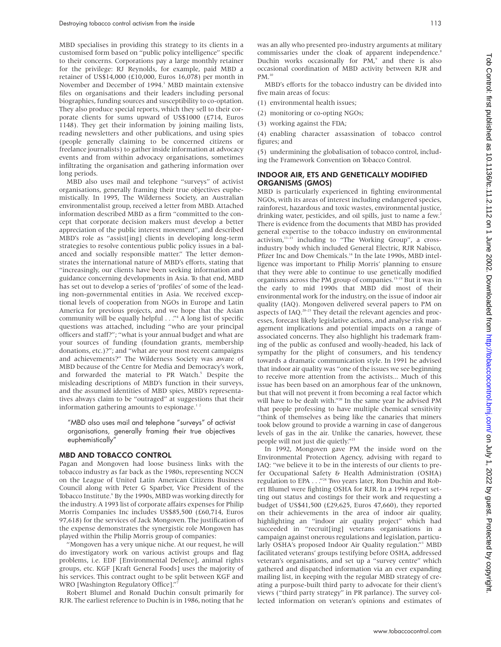MBD specialises in providing this strategy to its clients in a customised form based on "public policy intelligence" specific to their concerns. Corporations pay a large monthly retainer for the privilege: RJ Reynolds, for example, paid MBD a retainer of US\$14,000 (£10,000, Euros 16,078) per month in November and December of 1994.<sup>3</sup> MBD maintain extensive files on organisations and their leaders including personal biographies, funding sources and susceptibility to co-optation. They also produce special reports, which they sell to their corporate clients for sums upward of US\$1000 (£714, Euros 1148). They get their information by joining mailing lists, reading newsletters and other publications, and using spies (people generally claiming to be concerned citizens or freelance journalists) to gather inside information at advocacy events and from within advocacy organisations, sometimes infiltrating the organisation and gathering information over long periods.

MBD also uses mail and telephone "surveys" of activist organisations, generally framing their true objectives euphemistically. In 1995, The Wilderness Society, an Australian environmentalist group, received a letter from MBD. Attached information described MBD as a firm "committed to the concept that corporate decision makers must develop a better appreciation of the public interest movement", and described MBD's role as "assist[ing] clients in developing long-term strategies to resolve contentious public policy issues in a balanced and socially responsible matter." The letter demonstrates the international nature of MBD's efforts, stating that "increasingly, our clients have been seeking information and guidance concerning developments in Asia. To that end, MBD has set out to develop a series of 'profiles' of some of the leading non-governmental entities in Asia. We received exceptional levels of cooperation from NGOs in Europe and Latin America for previous projects, and we hope that the Asian community will be equally helpful . . . "<sup>4</sup> A long list of specific questions was attached, including "who are your principal officers and staff?"; "what is your annual budget and what are your sources of funding (foundation grants, membership donations, etc.)?"; and "what are your most recent campaigns and achievements?" The Wilderness Society was aware of MBD because of the Centre for Media and Democracy's work, and forwarded the material to PR Watch.<sup>5</sup> Despite the misleading descriptions of MBD's function in their surveys, and the assumed identities of MBD spies, MBD's representatives always claim to be "outraged" at suggestions that their information gathering amounts to espionage.<sup>12</sup>

"MBD also uses mail and telephone "surveys" of activist organisations, generally framing their true objectives euphemistically"

## MBD AND TOBACCO CONTROL

Pagan and Mongoven had loose business links with the tobacco industry as far back as the 1980s, representing NCCN on the League of United Latin American Citizens Business Council along with Peter G Sparber, Vice President of the Tobacco Institute.<sup>6</sup> By the 1990s, MBD was working directly for the industry. A 1993 list of corporate affairs expenses for Philip Morris Companies Inc includes US\$85,500 (£60,714, Euros 97,618) for the services of Jack Mongoven. The justification of the expense demonstrates the synergistic role Mongoven has played within the Philip Morris group of companies:

"Mongoven has a very unique niche. At our request, he will do investigatory work on various activist groups and flag problems, i.e. EDF [Environmental Defence], animal rights groups, etc. KGF [Kraft General Foods] uses the majority of his services. This contract ought to be split between KGF and WRO [Washington Regulatory Office]."

Robert Blumel and Ronald Duchin consult primarily for RJR. The earliest reference to Duchin is in 1986, noting that he

was an ally who presented pro-industry arguments at military commissaries under the cloak of apparent independence.<sup>8</sup> Duchin works occasionally for PM,<sup>9</sup> and there is also occasional coordination of MBD activity between RJR and  $\mathrm{PM.}^{_{10}}$ 

MBD's efforts for the tobacco industry can be divided into five main areas of focus:

- (1) environmental health issues;
- (2) monitoring or co-opting NGOs;
- (3) working against the FDA;

(4) enabling character assassination of tobacco control figures; and

(5) undermining the globalisation of tobacco control, including the Framework Convention on Tobacco Control.

## INDOOR AIR, ETS AND GENETICALLY MODIFIED ORGANISMS (GMOS)

MBD is particularly experienced in fighting environmental NGOs, with its areas of interest including endangered species, rainforest, hazardous and toxic wastes, environmental justice, drinking water, pesticides, and oil spills, just to name a few.<sup>2</sup> There is evidence from the documents that MBD has provided general expertise to the tobacco industry on environmental  $\arctivism$ , $^{11-13}$  including to "The Working Group", a crossindustry body which included General Electric, RJR Nabisco, Pfizer Inc and Dow Chemicals.<sup>14</sup> In the late 1990s, MBD intelligence was important to Philip Morris' planning to ensure that they were able to continue to use genetically modified organisms across the PM group of companies.15–19 But it was in the early to mid 1990s that MBD did most of their environmental work for the industry, on the issue of indoor air quality (IAQ). Mongoven delivered several papers to PM on aspects of IAQ.20–23 They detail the relevant agencies and processes, forecast likely legislative actions, and analyse risk management implications and potential impacts on a range of associated concerns. They also highlight his trademark framing of the public as confused and woolly-headed, his lack of sympathy for the plight of consumers, and his tendency towards a dramatic communication style. In 1991 he advised that indoor air quality was "one of the issues we see beginning to receive more attention from the activists... Much of this issue has been based on an amorphous fear of the unknown, but that will not prevent it from becoming a real factor which will have to be dealt with."<sup>20</sup> In the same year he advised PM that people professing to have multiple chemical sensitivity "think of themselves as being like the canaries that miners took below ground to provide a warning in case of dangerous levels of gas in the air. Unlike the canaries, however, these people will not just die quietly."<sup>21</sup>

In 1992, Mongoven gave PM the inside word on the Environmental Protection Agency, advising with regard to IAQ: "we believe it to be in the interests of our clients to prefer Occupational Safety & Health Administration (OSHA) regulation to EPA . . ."24 Two years later, Ron Duchin and Robert Blumel were fighting OSHA for RJR. In a 1994 report setting out status and costings for their work and requesting a budget of US\$41,500 (£29,625, Euros 47,660), they reported on their achievements in the area of indoor air quality, highlighting an "indoor air quality project" which had succeeded in "recruit[ing] veterans organisations in a campaign against onerous regulations and legislation, particularly OSHA's proposed Indoor Air Quality regulation."<sup>3</sup> MBD facilitated veterans' groups testifying before OSHA, addressed veteran's organisations, and set up a "survey centre" which gathered and dispatched information via an ever expanding mailing list, in keeping with the regular MBD strategy of creating a purpose-built third party to advocate for their client's views ("third party strategy" in PR parlance). The survey collected information on veteran's opinions and estimates of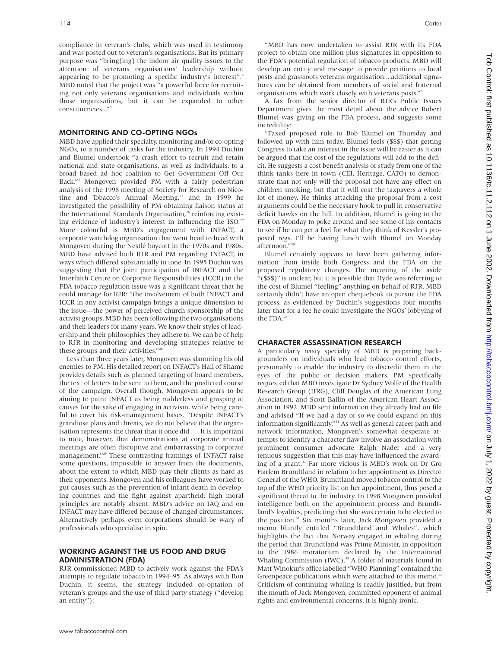compliance in veteran's clubs, which was used in testimony and was posted out to veteran's organisations. But its primary purpose was "bring[ing] the indoor air quality issues to the attention of veterans organisations' leadership without appearing to be promoting a specific industry's interest".<sup>3</sup> MBD noted that the project was "a powerful force for recruiting not only veterans organisations and individuals within those organisations, but it can be expanded to other constituencies..."3

## MONITORING AND CO-OPTING NGOs

MBD have applied their specialty, monitoring and/or co-opting NGOs, to a number of tasks for the industry. In 1994 Duchin and Blumel undertook "a crash effort to recruit and retain national and state organisations, as well as individuals, to a broad based ad hoc coalition to Get Government Off Our Back."3 Mongoven provided PM with a fairly pedestrian analysis of the 1998 meeting of Society for Research on Nicotine and Tobacco's Annual Meeting,<sup>25</sup> and in 1999 he investigated the possibility of PM obtaining liaison status at the International Standards Organisation, $26$  reinforcing existing evidence of industry's interest in influencing the ISO. $27$ More colourful is MBD's engagement with INFACT, a corporate watchdog organisation that went head to head with Mongoven during the Nestlé boycott in the 1970s and 1980s. MBD have advised both RJR and PM regarding INFACT, in ways which differed substantially in tone. In 1995 Duchin was suggesting that the joint participation of INFACT and the Interfaith Centre on Corporate Responsibilities (ICCR) in the FDA tobacco regulation issue was a significant threat that he could manage for RJR: "the involvement of both INFACT and ICCR in any activist campaign brings a unique dimension to the issue—the power of perceived church sponsorship of the activist groups. MBD has been following the two organisations and their leaders for many years. We know their styles of leadership and their philosophies they adhere to. We can be of help to RJR in monitoring and developing strategies relative to these groups and their activities."<sup>2</sup>

Less than three years later, Mongoven was slamming his old enemies to PM. His detailed report on INFACT's Hall of Shame provides details such as planned targeting of board members, the text of letters to be sent to them, and the predicted course of the campaign. Overall though, Mongoven appears to be aiming to paint INFACT as being rudderless and grasping at causes for the sake of engaging in activism, while being careful to cover his risk-management bases. "Despite INFACT's grandiose plans and threats, we do not believe that the organisation represents the threat that it once did . . . It is important to note, however, that demonstrations at corporate annual meetings are often disruptive and embarrassing to corporate management."29 These contrasting framings of INFACT raise some questions, impossible to answer from the documents, about the extent to which MBD play their clients as hard as their opponents. Mongoven and his colleagues have worked to gut causes such as the prevention of infant death in developing countries and the fight against apartheid: high moral principles are notably absent. MBD's advice on IAQ and on INFACT may have differed because of changed circumstances. Alternatively perhaps even corporations should be wary of professionals who specialise in spin.

## WORKING AGAINST THE US FOOD AND DRUG ADMINISTRATION (FDA)

RJR commissioned MBD to actively work against the FDA's attempts to regulate tobacco in 1994–95. As always with Ron Duchin, it seems, the strategy included co-optation of veteran's groups and the use of third party strategy ("develop an entity"):

"MBD has now undertaken to assist RJR with its FDA project to obtain one million plus signatures in opposition to the FDA's potential regulation of tobacco products. MBD will develop an entity and message to provide petitions to local posts and grassroots veterans organisation... additional signatures can be obtained from members of social and fraternal organisations which work closely with veterans posts."3

A fax from the senior director of RJR's Public Issues Department gives the most detail about the advice Robert Blumel was giving on the FDA process, and suggests some incredulity:

"Faxed proposed rule to Bob Blumel on Thursday and followed up with him today. Blumel feels (\$\$\$) that getting Congress to take an interest in the issue will be easier as it can be argued that the cost of the regulations will add to the deficit. He suggests a cost benefit analysis or study from one of the think tanks here in town (CEI, Heritage, CATO) to demonstrate that not only will the proposal not have any effect on children smoking, but that it will cost the taxpayers a whole lot of money. He thinks attacking the proposal from a cost arguments could be the necessary hook to pull in conservative deficit hawks on the hill. In addition, Blumel is going to the FDA on Monday to poke around and see some of his contacts to see if he can get a feel for what they think of Kessler's proposed regs. I'll be having lunch with Blumel on Monday afternoon."30

Blumel certainly appears to have been gathering information from inside both Congress and the FDA on the proposed regulatory changes. The meaning of the aside "(\$\$\$)" is unclear, but it is possible that Hyde was referring to the cost of Blumel "feeling" anything on behalf of RJR. MBD certainly didn't have an open chequebook to pursue the FDA process, as evidenced by Duchin's suggestions four months later that for a fee he could investigate the NGOs' lobbying of the FDA.<sup>28</sup>

#### CHARACTER ASSASSINATION RESEARCH

A particularly nasty specialty of MBD is preparing backgrounders on individuals who lead tobacco control efforts, presumably to enable the industry to discredit them in the eyes of the public or decision makers. PM specifically requested that MBD investigate Dr Sydney Wolfe of the Health Research Group (HRG), Cliff Douglas of the American Lung Association, and Scott Ballin of the American Heart Association in 1992. MBD sent information they already had on file and advised "If we had a day or so we could expand on this information significantly."31 As well as general career path and network information, Mongoven's somewhat desperate attempts to identify a character flaw involve an association with prominent consumer advocate Ralph Nader and a very tenuous suggestion that this may have influenced the awarding of a grant.<sup>31</sup> Far more vicious is MBD's work on Dr Gro Harlem Brundtland in relation to her appointment as Director General of the WHO. Brundtland moved tobacco control to the top of the WHO priority list on her appointment, thus posed a significant threat to the industry. In 1998 Mongoven provided intelligence both on the appointment process and Brundtland's loyalties, predicting that she was certain to be elected to the position.<sup>32</sup> Six months later, Jack Mongoven provided a memo bluntly entitled "Brundtland and Whales", which highlights the fact that Norway engaged in whaling during the period that Brundtland was Prime Minister, in opposition to the 1986 moratorium declared by the International Whaling Commission (IWC).<sup>33</sup> A folder of materials found in Matt Winokur's office labelled "WHO Planning" contained the Greenpeace publications which were attached to this memo.<sup>34</sup> Criticism of continuing whaling is readily justified, but from the mouth of Jack Mongoven, committed opponent of animal rights and environmental concerns, it is highly ironic.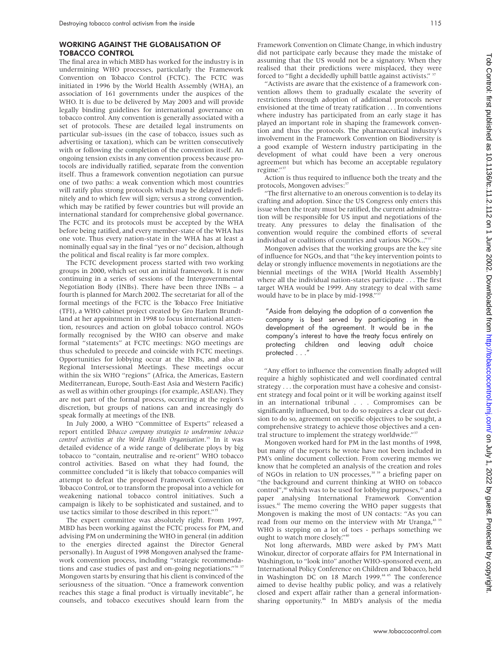#### WORKING AGAINST THE GLOBALISATION OF TOBACCO CONTROL

The final area in which MBD has worked for the industry is in undermining WHO processes, particularly the Framework Convention on Tobacco Control (FCTC). The FCTC was initiated in 1996 by the World Health Assembly (WHA), an association of 161 governments under the auspices of the WHO. It is due to be delivered by May 2003 and will provide legally binding guidelines for international governance on tobacco control. Any convention is generally associated with a set of protocols. These are detailed legal instruments on particular sub-issues (in the case of tobacco, issues such as advertising or taxation), which can be written consecutively with or following the completion of the convention itself. An ongoing tension exists in any convention process because protocols are individually ratified, separate from the convention itself. Thus a framework convention negotiation can pursue one of two paths: a weak convention which most countries will ratify plus strong protocols which may be delayed indefinitely and to which few will sign; versus a strong convention, which may be ratified by fewer countries but will provide an international standard for comprehensive global governance. The FCTC and its protocols must be accepted by the WHA before being ratified, and every member-state of the WHA has one vote. Thus every nation-state in the WHA has at least a nominally equal say in the final "yes or no" decision, although the political and fiscal reality is far more complex.

The FCTC development process started with two working groups in 2000, which set out an initial framework. It is now continuing in a series of sessions of the Intergovernmental Negotiation Body (INBs). There have been three INBs – a fourth is planned for March 2002. The secretariat for all of the formal meetings of the FCTC is the Tobacco Free Initiative (TFI), a WHO cabinet project created by Gro Harlem Brundtland at her appointment in 1998 to focus international attention, resources and action on global tobacco control. NGOs formally recognised by the WHO can observe and make formal "statements" at FCTC meetings: NGO meetings are thus scheduled to precede and coincide with FCTC meetings. Opportunities for lobbying occur at the INBs, and also at Regional Intersessional Meetings. These meetings occur within the six WHO "regions" (Africa, the Americas, Eastern Mediterranean, Europe, South-East Asia and Western Pacific) as well as within other groupings (for example, ASEAN). They are not part of the formal process, occurring at the region's discretion, but groups of nations can and increasingly do speak formally at meetings of the INB.

In July 2000, a WHO "Committee of Experts" released a report entitled *Tobacco company strategies to undermine tobacco control activities at the World Health Organisation*. <sup>35</sup> In it was detailed evidence of a wide range of deliberate ploys by big tobacco to "contain, neutralise and re-orient" WHO tobacco control activities. Based on what they had found, the committee concluded "it is likely that tobacco companies will attempt to defeat the proposed Framework Convention on Tobacco Control, or to transform the proposal into a vehicle for weakening national tobacco control initiatives. Such a campaign is likely to be sophisticated and sustained, and to use tactics similar to those described in this report."35

The expert committee was absolutely right. From 1997, MBD has been working against the FCTC process for PM, and advising PM on undermining the WHO in general (in addition to the energies directed against the Director General personally). In August of 1998 Mongoven analysed the framework convention process, including "strategic recommendations and case studies of past and on-going negotiations."<sup>36</sup><sup>37</sup> Mongoven starts by ensuring that his client is convinced of the seriousness of the situation. "Once a framework convention reaches this stage a final product is virtually inevitable", he counsels, and tobacco executives should learn from the

"Activists are aware that the existence of a framework convention allows them to gradually escalate the severity of restrictions through adoption of additional protocols never envisioned at the time of treaty ratification . . . In conventions where industry has participated from an early stage it has played an important role in shaping the framework convention and thus the protocols. The pharmaceutical industry's involvement in the Framework Convention on Biodiversity is a good example of Western industry participating in the development of what could have been a very onerous agreement but which has become an acceptable regulatory regime."<sup>37</sup>

Action is thus required to influence both the treaty and the protocols, Mongoven advises:<sup>37</sup>

"The first alternative to an onerous convention is to delay its crafting and adoption. Since the US Congress only enters this issue when the treaty must be ratified, the current administration will be responsible for US input and negotiations of the treaty. Any pressures to delay the finalisation of the convention would require the combined efforts of several individual or coalitions of countries and various NGOs..."3

Mongoven advises that the working groups are the key site of influence for NGOs, and that "the key intervention points to delay or strongly influence movements in negotiations are the biennial meetings of the WHA [World Health Assembly] where all the individual nation-states participate . . . The first target WHA would be 1999. Any strategy to deal with same would have to be in place by mid-1998."3

"Aside from delaying the adoption of a convention the company is best served by participating in the development of the agreement. It would be in the company's interest to have the treaty focus entirely on protecting children and leaving adult choice protected . . ."

"Any effort to influence the convention finally adopted will require a highly sophisticated and well coordinated central strategy . . . the corporation must have a cohesive and consistent strategy and focal point or it will be working against itself in an international tribunal . . . Compromises can be significantly influenced, but to do so requires a clear cut decision to do so, agreement on specific objectives to be sought, a comprehensive strategy to achieve those objectives and a central structure to implement the strategy worldwide."<sup>37</sup>

Mongoven worked hard for PM in the last months of 1998, but many of the reports he wrote have not been included in PM's online document collection. From covering memos we know that he completed an analysis of the creation and roles of NGOs in relation to UN processes,<sup>38 39</sup> a briefing paper on "the background and current thinking at WHO on tobacco control",<sup>40</sup> which was to be used for lobbying purposes,<sup>41</sup> and a paper analysing International Framework Convention issues.42 The memo covering the WHO paper suggests that Mongoven is making the most of UN contacts: "As you can read from our memo on the interview with Mr Uranga, $4335$ WHO is stepping on a lot of toes - perhaps something we ought to watch more closely."40

Not long afterwards, MBD were asked by PM's Matt Winokur, director of corporate affairs for PM International in Washington, to "look into" another WHO-sponsored event, an International Policy Conference on Children and Tobacco, held in Washington DC on 18 March 1999.<sup>44 45</sup> The conference aimed to devise healthy public policy, and was a relatively closed and expert affair rather than a general informationsharing opportunity.<sup>46</sup> In MBD's analysis of the media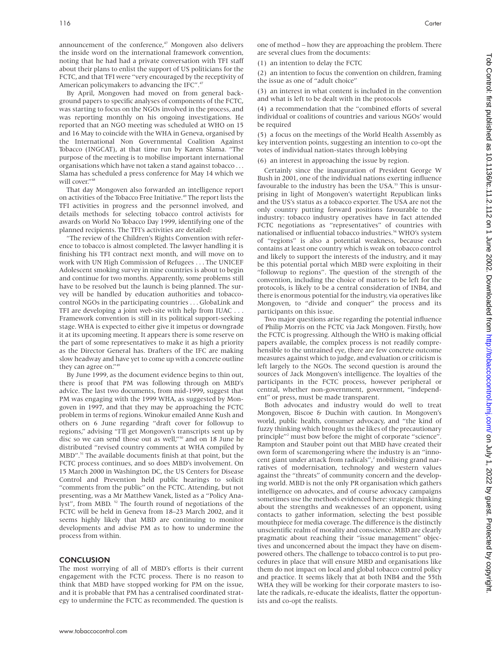announcement of the conference, $47$  Mongoven also delivers the inside word on the international framework convention, noting that he had had a private conversation with TFI staff about their plans to enlist the support of US politicians for the FCTC, and that TFI were "very encouraged by the receptivity of American policymakers to advancing the IFC".<sup>47</sup>

By April, Mongoven had moved on from general background papers to specific analyses of components of the FCTC, was starting to focus on the NGOs involved in the process, and was reporting monthly on his ongoing investigations. He reported that an NGO meeting was scheduled at WHO on 15 and 16 May to coincide with the WHA in Geneva, organised by the International Non Governmental Coalition Against Tobacco (INGCAT), at that time run by Karen Slama. "The purpose of the meeting is to mobilise important international organisations which have not taken a stand against tobacco . . . Slama has scheduled a press conference for May 14 which we will cover."<sup>48</sup>

That day Mongoven also forwarded an intelligence report on activities of the Tobacco Free Initiative.<sup>49</sup> The report lists the TFI activities in progress and the personnel involved, and details methods for selecting tobacco control activists for awards on World No Tobacco Day 1999, identifying one of the planned recipients. The TFI's activities are detailed:

"The review of the Children's Rights Convention with reference to tobacco is almost completed. The lawyer handling it is finishing his TFI contract next month, and will move on to work with UN High Commission of Refugees . . . The UNICEF Adolescent smoking survey in nine countries is about to begin and continue for two months. Apparently, some problems still have to be resolved but the launch is being planned. The survey will be handled by education authorities and tobaccocontrol NGOs in the participating countries ...GlobaLink and TFI are developing a joint web-site with help from IUAC . . . Framework convention is still in its political support-seeking stage. WHA is expected to either give it impetus or downgrade it at its upcoming meeting. It appears there is some reserve on the part of some representatives to make it as high a priority as the Director General has. Drafters of the IFC are making slow headway and have yet to come up with a concrete outline they can agree on."<sup>49</sup>

By June 1999, as the document evidence begins to thin out, there is proof that PM was following through on MBD's advice. The last two documents, from mid-1999, suggest that PM was engaging with the 1999 WHA, as suggested by Mongoven in 1997, and that they may be approaching the FCTC problem in terms of regions. Winokur emailed Anne Kush and others on 6 June regarding "draft cover for followup to regions," advising "I'll get Mongoven's transcripts sent up by disc so we can send those out as well,"<sup>50</sup> and on 18 June he distributed "revised country comments at WHA compiled by MBD".<sup>51</sup> The available documents finish at that point, but the FCTC process continues, and so does MBD's involvement. On 15 March 2000 in Washington DC, the US Centers for Disease Control and Prevention held public hearings to solicit "comments from the public" on the FCTC. Attending, but not presenting, was a Mr Matthew Vanek, listed as a "Policy Analyst", from MBD.<sup>52</sup> The fourth round of negotiations of the FCTC will be held in Geneva from 18–23 March 2002, and it seems highly likely that MBD are continuing to monitor developments and advise PM as to how to undermine the process from within.

#### **CONCLUSION**

The most worrying of all of MBD's efforts is their current engagement with the FCTC process. There is no reason to think that MBD have stopped working for PM on the issue, and it is probable that PM has a centralised coordinated strategy to undermine the FCTC as recommended. The question is

one of method – how they are approaching the problem. There are several clues from the documents:

(1) an intention to delay the FCTC

(2) an intention to focus the convention on children, framing the issue as one of "adult choice"

(3) an interest in what content is included in the convention and what is left to be dealt with in the protocols

(4) a recommendation that the "combined efforts of several individual or coalitions of countries and various NGOs' would be required

(5) a focus on the meetings of the World Health Assembly as key intervention points, suggesting an intention to co-opt the votes of individual nation-states through lobbying

(6) an interest in approaching the issue by region.

Certainly since the inauguration of President George W Bush in 2001, one of the individual nations exerting influence favourable to the industry has been the USA.<sup>53</sup> This is unsurprising in light of Mongoven's watertight Republican links and the US's status as a tobacco exporter. The USA are not the only country putting forward positions favourable to the industry: tobacco industry operatives have in fact attended FCTC negotiations as "representatives" of countries with nationalised or influential tobacco industries.<sup>54</sup> WHO's system of "regions" is also a potential weakness, because each contains at least one country which is weak on tobacco control and likely to support the interests of the industry, and it may be this potential portal which MBD were exploiting in their "followup to regions". The question of the strength of the convention, including the choice of matters to be left for the protocols, is likely to be a central consideration of INB4, and there is enormous potential for the industry, via operatives like Mongoven, to "divide and conquer" the process and its participants on this issue.

Two major questions arise regarding the potential influence of Philip Morris on the FCTC via Jack Mongoven. Firstly, how the FCTC is progressing. Although the WHO is making official papers available, the complex process is not readily comprehensible to the untrained eye, there are few concrete outcome measures against which to judge, and evaluation or criticism is left largely to the NGOs. The second question is around the sources of Jack Mongoven's intelligence. The loyalties of the participants in the FCTC process, however peripheral or central, whether non-government, government, "independent" or press, must be made transparent.

Both advocates and industry would do well to treat Mongoven, Biscoe & Duchin with caution. In Mongoven's world, public health, consumer advocacy, and "the kind of fuzzy thinking which brought us the likes of the precautionary principle"2 must bow before the might of corporate "science". Rampton and Stauber point out that MBD have created their own form of scaremongering where the industry is an "innocent giant under attack from radicals",<sup>2</sup> mobilising grand narratives of modernisation, technology and western values against the "threats" of community concern and the developing world. MBD is not the only PR organisation which gathers intelligence on advocates, and of course advocacy campaigns sometimes use the methods evidenced here: strategic thinking about the strengths and weaknesses of an opponent, using contacts to gather information, selecting the best possible mouthpiece for media coverage. The difference is the distinctly unscientific realm of morality and conscience. MBD are clearly pragmatic about reaching their "issue management" objectives and unconcerned about the impact they have on disempowered others. The challenge to tobacco control is to put procedures in place that will ensure MBD and organisations like them do not impact on local and global tobacco control policy and practice. It seems likely that at both INB4 and the 55th WHA they will be working for their corporate masters to isolate the radicals, re-educate the idealists, flatter the opportunists and co-opt the realists.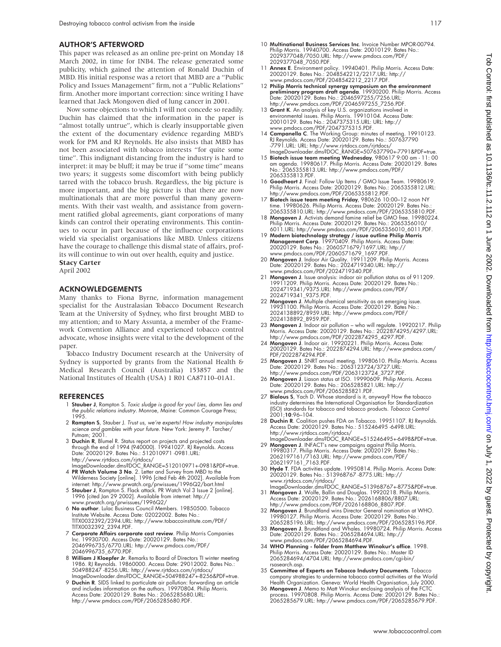#### AUTHOR'S AFTERWORD

This paper was released as an online pre-print on Monday 18 March 2002, in time for INB4. The release generated some publicity, which gained the attention of Ronald Duchin of MBD. His initial response was a retort that MBD are a "Public Policy and Issues Management" firm, not a "Public Relations" firm. Another more important correction: since writing I have learned that Jack Mongoven died of lung cancer in 2001.

Now some objections to which I will not concede so readily. Duchin has claimed that the information in the paper is "almost totally untrue", which is clearly insupportable given the extent of the documentary evidence regarding MBD's work for PM and RJ Reynolds. He also insists that MBD has not been associated with tobacco interests "for quite some time". This indignant distancing from the industry is hard to interpret: it may be bluff; it may be true if "some time" means two years; it suggests some discomfort with being publicly tarred with the tobacco brush. Regardless, the big picture is more important, and the big picture is that there are now multinationals that are more powerful than many governments. With their vast wealth, and assistance from government ratified global agreements, giant corporations of many kinds can control their operating environments. This continues to occur in part because of the influence corporations wield via specialist organisations like MBD. Unless citizens have the courage to challenge this dismal state of affairs, profits will continue to win out over health, equity and justice. **Stacy Carter**

April 2002

# ACKNOWLEDGEMENTS

Many thanks to Fiona Byrne, information management specialist for the Australasian Tobacco Document Research Team at the University of Sydney, who first brought MBD to my attention; and to Mary Assunta, a member of the Framework Convention Alliance and experienced tobacco control advocate, whose insights were vital to the development of the paper.

Tobacco Industry Document research at the University of Sydney is supported by grants from the National Health & Medical Research Council (Australia) 153857 and the National Institutes of Health (USA) 1 R01 CA87110–01A1.

#### **REFERENCES**

- 1 Stauber J, Rampton S. Toxic sludge is good for you! Lies, damn lies and the public relations industry. Monroe, Maine: Common Courage Press; 1995.
- 2 Rampton S, Stauber J. Trust us, we're experts! How industry manipulates science and gambles with your future. New York: Jeremy P. Tarcher/ Putnam; 2001.
- 3 Duchin R, Blumel R. Status report on projects and projected costs through the end of 1994 (940000). 19941027. RJ Reynolds. Access Date: 20020129. Bates No.: 512010971 -0981.URL: http://www.rjrtdocs.com/rjrtdocs/
- ImageDownloader.dms?DOC\_RANGE=512010971+-0981&PDF=true. 4 PR Watch Volume 3 No. 2. Letter and Survey from MBD to the Wilderness Society [online]. 1996 [cited Feb 4th 2002]. Available from
- internet: http://www.prwatch.org/prwissues/1996Q2/bart.html 5 Stauber J, Rampton S. Flack attack. PR Watch Vol 3 Issue 2 [online].
- 1996 [cited Jan 29 2002]. Available from internet: http:// www.prwatch.org/prwissues/1996Q2/
- 6 No author. Lulac Business Council Members. 19850500. Tobacco Institute Website. Access Date: 02022002. Bates No.: TITX0032392/2394.URL: http://www.tobaccoinstitute.com/PDF/ TITX0032392\_2394.PDF.
- 7 Corporate Affairs corporate cost review. Philip Morris Companies Inc. 19930700. Access Date: 20020129. Bates No.: 2046996735/6770.URL: http://www.pmdocs.com/PDF/ 2046996735\_6770.PDF.
- 8 William J Kloepfer Jr. Remarks to Board of Directors TI winter meeting 1986. RJ Reynolds. 19860000. Access Date: 29012002. Bates No.: 504988247 -8256.URL: http://www.rjrtdocs.com/rjrtdocs/ ImageDownloader.dms?DOC\_RANGE=504988247+-8256&PDF=true.
- 9 Duchin R. SIDS linked to particulate air pollution: forwarding an article and includes information on the authors. 19970804. Philip Morris. Access Date: 20020129. Bates No.: 2065285680.URL: http://www.pmdocs.com/PDF/2065285680.PDF.
- 10 Multinational Business Services Inc. Invoice Number MPOR-00794. Philip Morris. 19940700. Access Date: 20010129. Bates No.: 2029377048/7050.URL: http://www.pmdocs.com/PDF/ 2029377048\_7050.PDF.
- 11 Annex E. Environment policy. 19940401. Philip Morris. Access Date: 20020129. Bates No.: 2048542212/2217.URL: http:// www.pmdocs.com/PDF/2048542212\_2217.PDF.
- 12 Philip Morris technical synergy symposium on the environment **preliminary program draft agenda**. 19930200. Philip Morris. Access<br>Date: 20020129. Bates No.: 2046597255/7256.URL: http://www.pmdocs.com/PDF/2046597255\_7256.PDF.
- 13 **Grant K**. An analysis of key U.S. organizations involved in<br>environmental issues. Philip Morris. 19910104. Access Date:<br>20010129. Bates No.: 2047375315.URL: URL: http://<br>www.pmdocs.com/PDF/2047375315.PDF.
- 14 Campanella C. The Working Group: minutes of meeting. 19910123. RJ Reynolds. Access Date: 20020129. Bates No.: 507637790 -7791.URL: URL: http://www.rjrtdocs.com/rjrtdocs/ ImageDownloader.dms?DOC\_RANGE=507637790+-7791&PDF=true.
- 15 Biotech issue team meeting Wednesday, 980617 9:00 am 11: 00<br>am agenda. 19980617. Philip Morris. Access Date: 20020129. Bates No.: 2065355813.URL: http://www.pmdocs.com/PDF/ 2065355813.PDF.
- 16 Goodheart J. Final: Follow Up Items / GMO Issue Team. 19980619. Philip Morris. Access Date: 20020129. Bates No.: 2065355812.URL: http://www.pmdocs.com/PDF/2065355812.PDF.
- 17 Biotech issue team meeting Friday, 980626 10:00–12 noon NY time. 19980626. Philip Morris. Access Date: 20020129. Bates No.:
- 2065355810.URL: http://www.pmdocs.com/PDF/2065355810.PDF. 18 Mongoven J. Activists demand famine relief be GMO free. 19980224. Philip Morris. Access Date: 20020129. Bates No.: 2065356010/ 6011.URL: http://www.pmdocs.com/PDF/2065356010\_6011.PDF.
- 19 Modern biotechnology strategy / issue outline Philip Morris<br>Management Corp. 19970409. Philip Morris. Access Date:<br>20020129. Bates No.: 2060571679/1697.URL: http://<br>www.pmdocs.com/PDF/2060571679\_1697.PDF.<br>20 Mongoven J.
- www.pmdocs.com/PDF/2024719340.PDF.
- 21 Mongoven J. Issue analysis: indoor air pollution status as of 911209. 19911209. Philip Morris. Access Date: 20020129. Bates No.: 2024719341/9375.URL: http://www.pmdocs.com/PDF/ 2024719341\_9375.PDF.
- 22 Mongoven J. Multiple chemical sensitivity as an emerging issue. 19931100. Philip Morris. Access Date: 20020129. Bates No.: 2024138892/8959.URL: http://www.pmdocs.com/PDF/ 2024138892\_8959.PDF.
- 23 Mongoven J. Indoor air pollution who will regulate. 19920217. Philip Morris. Access Date: 20020129. Bates No.: 2022874295/4297.URL:<br>http://www.pmdocs.com/PDF/20222874295\_4297.PDF.<br>24 Mongoven J. Indoor air. 19920221. Philip Morris. Access Date:
- 20020129. Bates No.: 2022874294.URL: http://www.pmdocs.com/ PDF/2022874294.PDF.
- 25 Mongoven J. SNRT annual meeting. 19980610. Philip Morris. Access Date: 20020129. Bates No.: 2063123724/3727.URL: http://www.pmdocs.com/PDF/2063123724\_3727.PDF.
- 26 Mongoven J. Liason status at ISO. 19990609. Philip Morris. Access Date: 20020129. Bates No.: 2065285821.URL: http:// www.pmdocs.com/PDF/2065285821.PDF.
- 27 Bialous S, Yach D. Whose standard is it, anyway? How the tobacco industry determines the International Organisation for Standardization (ISO) standards for tobacco and tobacco products. Tobacco Control
- 2001;10:96–104. 28 Duchin R. Coalition pushes FDA on Tobacco. 19951107. RJ Reynolds. Access Date: 20020129. Bates No.: 515246495 -6498.URL: http://www.rjrtdocs.com/rjrtdocs/
- ImageDownloader.dms?DOC\_RANGE=515246495+-6498&PDF=true. 29 Mongoven J. INFACT's new campaigns against Philip Morris. 19980317. Philip Morris. Access Date: 20020129. Bates No.:
- 2062197161/7163.URL: http://www.pmdocs.com/PDF/
- 2062197161\_7163.PDF. 30 Hyde T. FDA activities update. 19950814. Philip Morris. Access Date: 20020129. Bates No.: 513968767 -8775.URL: http:// www.rjrtdocs.com/rjrtdocs/
- ImageDownloader.dms?DOC\_RANGE=513968767+-8775&PDF=true. 31 Mongoven J. Wolfe, Ballin and Douglas. 19920218. Philip Morris. Access Date: 20020129. Bates No.: 2026168806/8807.URL: http://www.pmdocs.com/PDF/2026168806\_8807.PDF.
- 32 Mongoven J. Brundtland wins Director General nomination at WHO. 19980127. Philip Morris. Access Date: 20020129. Bates No.:
- 2065285196.URL: http://www.pmdocs.com/PDF/2065285196.PDF. 33 Mongoven J. Brundtland and Whales. 19980724. Philip Morris. Access Date: 20020129. Bates No.: 2065284694.URL: http:// www.pmdocs.com/PDF/2065284694.PDF.
- 34 WHO Planning folder from Matthew Winokur's office. 1998. Philip Morris. Access Date: 20020129. Bates No.: Master ID 2065284694/4704.URL: http://www.pmdocs.com/cgi-bin/ rsasearch.asp.
- 35 Committee of Experts on Tobacco Industry Documents. Tobacco company strategies to undermine tobacco control activities at the World Health Organization. Geneva: World Health Organisation, July 2000.
- 36 Mongoven J. Memo to Matt Winokur enclosing analysis of the FCTC process. 19970808. Philip Morris. Access Date: 20020129. Bates No.: 2065285679.URL: http://www.pmdocs.com/PDF/2065285679.PDF.